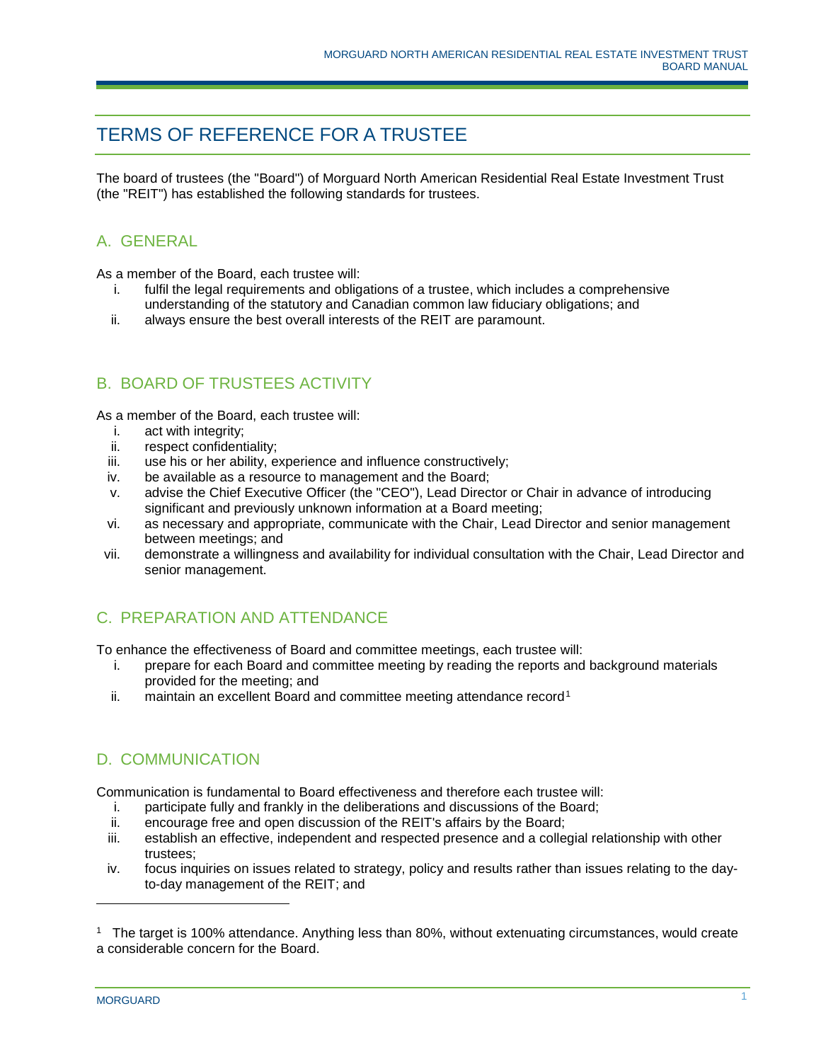# TERMS OF REFERENCE FOR A TRUSTEE

The board of trustees (the "Board") of Morguard North American Residential Real Estate Investment Trust (the "REIT") has established the following standards for trustees.

#### A. GENERAL

As a member of the Board, each trustee will:

- i. fulfil the legal requirements and obligations of a trustee, which includes a comprehensive understanding of the statutory and Canadian common law fiduciary obligations; and
- ii. always ensure the best overall interests of the REIT are paramount.

#### B. BOARD OF TRUSTEES ACTIVITY

As a member of the Board, each trustee will:

- i. act with integrity;
- ii. respect confidentiality;
- iii. use his or her ability, experience and influence constructively;
- iv. be available as a resource to management and the Board;
- v. advise the Chief Executive Officer (the "CEO"), Lead Director or Chair in advance of introducing significant and previously unknown information at a Board meeting;
- vi. as necessary and appropriate, communicate with the Chair, Lead Director and senior management between meetings; and
- vii. demonstrate a willingness and availability for individual consultation with the Chair, Lead Director and senior management.

## C. PREPARATION AND ATTENDANCE

To enhance the effectiveness of Board and committee meetings, each trustee will:

- i. prepare for each Board and committee meeting by reading the reports and background materials provided for the meeting; and
- ii. maintain an excellent Board and committee meeting attendance record<sup>[1](#page-0-0)</sup>

## D. COMMUNICATION

Communication is fundamental to Board effectiveness and therefore each trustee will:

- i. participate fully and frankly in the deliberations and discussions of the Board;
- ii. encourage free and open discussion of the REIT's affairs by the Board;
- iii. establish an effective, independent and respected presence and a collegial relationship with other trustees;
- iv. focus inquiries on issues related to strategy, policy and results rather than issues relating to the dayto-day management of the REIT; and

j

<span id="page-0-0"></span><sup>1</sup> The target is 100% attendance. Anything less than 80%, without extenuating circumstances, would create a considerable concern for the Board.